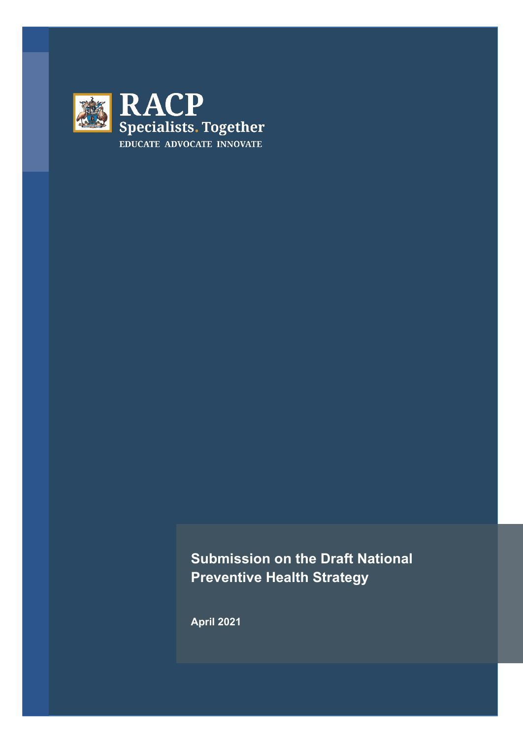

# **Submission on the Draft National Preventive Health Strategy**

**April 2021**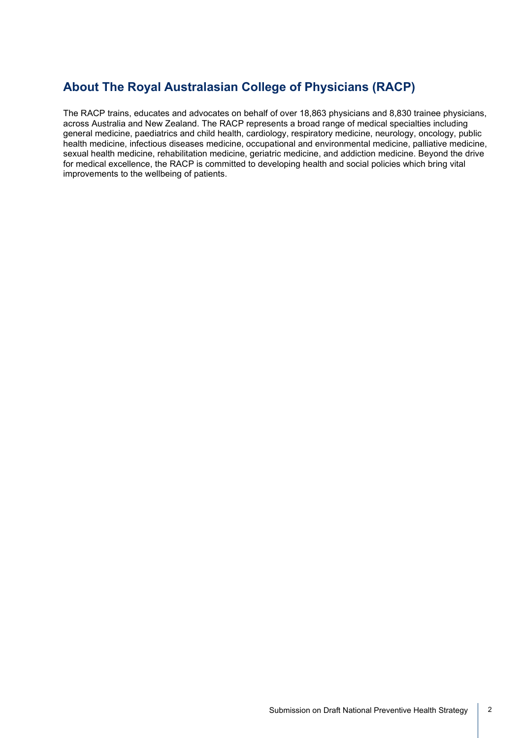# **About The Royal Australasian College of Physicians (RACP)**

The RACP trains, educates and advocates on behalf of over 18,863 physicians and 8,830 trainee physicians, across Australia and New Zealand. The RACP represents a broad range of medical specialties including general medicine, paediatrics and child health, cardiology, respiratory medicine, neurology, oncology, public health medicine, infectious diseases medicine, occupational and environmental medicine, palliative medicine, sexual health medicine, rehabilitation medicine, geriatric medicine, and addiction medicine. Beyond the drive for medical excellence, the RACP is committed to developing health and social policies which bring vital improvements to the wellbeing of patients.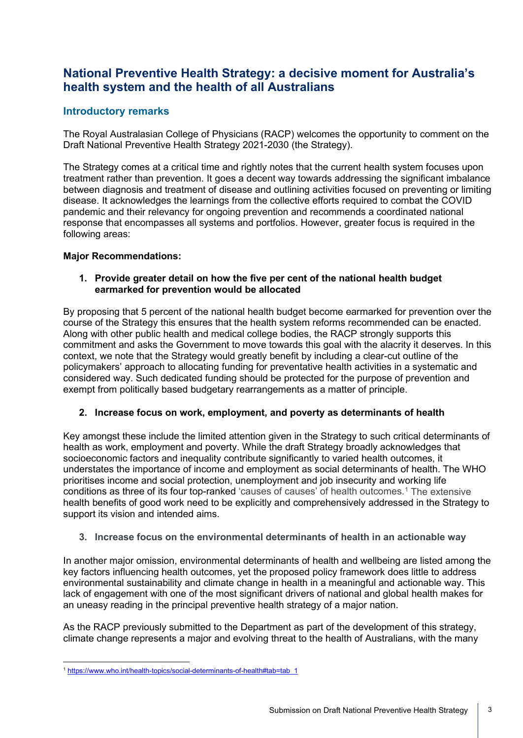# **National Preventive Health Strategy: a decisive moment for Australia's health system and the health of all Australians**

### **Introductory remarks**

The Royal Australasian College of Physicians (RACP) welcomes the opportunity to comment on the Draft National Preventive Health Strategy 2021-2030 (the Strategy).

The Strategy comes at a critical time and rightly notes that the current health system focuses upon treatment rather than prevention. It goes a decent way towards addressing the significant imbalance between diagnosis and treatment of disease and outlining activities focused on preventing or limiting disease. It acknowledges the learnings from the collective efforts required to combat the COVID pandemic and their relevancy for ongoing prevention and recommends a coordinated national response that encompasses all systems and portfolios. However, greater focus is required in the following areas:

#### **Major Recommendations:**

#### **1. Provide greater detail on how the five per cent of the national health budget earmarked for prevention would be allocated**

By proposing that 5 percent of the national health budget become earmarked for prevention over the course of the Strategy this ensures that the health system reforms recommended can be enacted. Along with other public health and medical college bodies, the RACP strongly supports this commitment and asks the Government to move towards this goal with the alacrity it deserves. In this context, we note that the Strategy would greatly benefit by including a clear-cut outline of the policymakers' approach to allocating funding for preventative health activities in a systematic and considered way. Such dedicated funding should be protected for the purpose of prevention and exempt from politically based budgetary rearrangements as a matter of principle.

#### **2. Increase focus on work, employment, and poverty as determinants of health**

Key amongst these include the limited attention given in the Strategy to such critical determinants of health as work, employment and poverty. While the draft Strategy broadly acknowledges that socioeconomic factors and inequality contribute significantly to varied health outcomes, it understates the importance of income and employment as social determinants of health. The WHO prioritises income and social protection, unemployment and job insecurity and working life conditions as three of its four top-ranked 'causes of causes' of health outcomes. [1](#page-2-0) The extensive health benefits of good work need to be explicitly and comprehensively addressed in the Strategy to support its vision and intended aims.

#### **3. Increase focus on the environmental determinants of health in an actionable way**

In another major omission, environmental determinants of health and wellbeing are listed among the key factors influencing health outcomes, yet the proposed policy framework does little to address environmental sustainability and climate change in health in a meaningful and actionable way. This lack of engagement with one of the most significant drivers of national and global health makes for an uneasy reading in the principal preventive health strategy of a major nation.

As the RACP previously submitted to the Department as part of the development of this strategy, climate change represents a major and evolving threat to the health of Australians, with the many

<span id="page-2-0"></span><sup>1</sup> [https://www.who.int/health-topics/social-determinants-of-health#tab=tab\\_1](https://www.who.int/health-topics/social-determinants-of-health#tab=tab_1)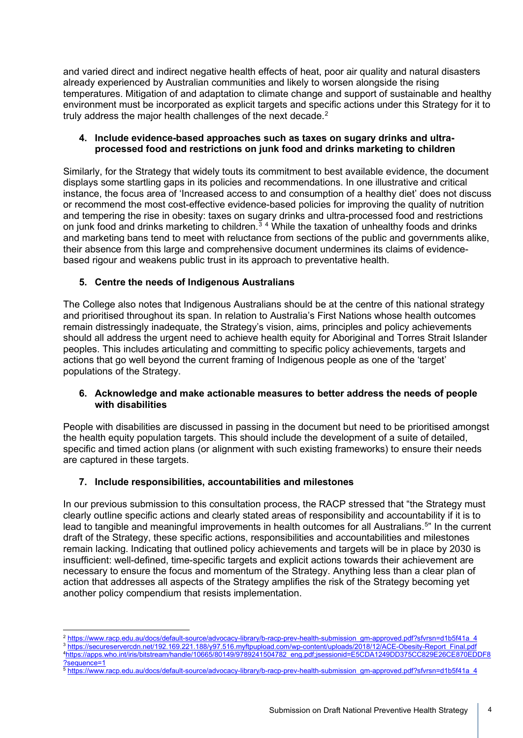and varied direct and indirect negative health effects of heat, poor air quality and natural disasters already experienced by Australian communities and likely to worsen alongside the rising temperatures. Mitigation of and adaptation to climate change and support of sustainable and healthy environment must be incorporated as explicit targets and specific actions under this Strategy for it to truly address the major health challenges of the next decade.<sup>[2](#page-3-0)</sup>

#### **4. Include evidence-based approaches such as taxes on sugary drinks and ultraprocessed food and restrictions on junk food and drinks marketing to children**

Similarly, for the Strategy that widely touts its commitment to best available evidence, the document displays some startling gaps in its policies and recommendations. In one illustrative and critical instance, the focus area of 'Increased access to and consumption of a healthy diet' does not discuss or recommend the most cost-effective evidence-based policies for improving the quality of nutrition and tempering the rise in obesity: taxes on sugary drinks and ultra-processed food and restrictions on junk food and drinks marketing to children.<sup>[3](#page-3-1)[4](#page-3-2)</sup> While the taxation of unhealthy foods and drinks and marketing bans tend to meet with reluctance from sections of the public and governments alike, their absence from this large and comprehensive document undermines its claims of evidencebased rigour and weakens public trust in its approach to preventative health.

#### **5. Centre the needs of Indigenous Australians**

The College also notes that Indigenous Australians should be at the centre of this national strategy and prioritised throughout its span. In relation to Australia's First Nations whose health outcomes remain distressingly inadequate, the Strategy's vision, aims, principles and policy achievements should all address the urgent need to achieve health equity for Aboriginal and Torres Strait Islander peoples. This includes articulating and committing to specific policy achievements, targets and actions that go well beyond the current framing of Indigenous people as one of the 'target' populations of the Strategy.

#### **6. Acknowledge and make actionable measures to better address the needs of people with disabilities**

People with disabilities are discussed in passing in the document but need to be prioritised amongst the health equity population targets. This should include the development of a suite of detailed, specific and timed action plans (or alignment with such existing frameworks) to ensure their needs are captured in these targets.

#### **7. Include responsibilities, accountabilities and milestones**

In our previous submission to this consultation process, the RACP stressed that "the Strategy must clearly outline specific actions and clearly stated areas of responsibility and accountability if it is to lead to tangible and meaningful improvements in health outcomes for all Australians.<sup>[5](#page-3-3)</sup>" In the current draft of the Strategy, these specific actions, responsibilities and accountabilities and milestones remain lacking. Indicating that outlined policy achievements and targets will be in place by 2030 is insufficient: well-defined, time-specific targets and explicit actions towards their achievement are necessary to ensure the focus and momentum of the Strategy. Anything less than a clear plan of action that addresses all aspects of the Strategy amplifies the risk of the Strategy becoming yet another policy compendium that resists implementation.

<span id="page-3-1"></span><span id="page-3-0"></span><sup>2</sup> [https://www.racp.edu.au/docs/default-source/advocacy-library/b-racp-prev-health-submission\\_gm-approved.pdf?sfvrsn=d1b5f41a\\_4](https://www.racp.edu.au/docs/default-source/advocacy-library/b-racp-prev-health-submission_gm-approved.pdf?sfvrsn=d1b5f41a_4) 3 [https://secureservercdn.net/192.169.221.188/y97.516.myftpupload.com/wp-content/uploads/2018/12/ACE-Obesity-Report\\_Final.pdf](https://secureservercdn.net/192.169.221.188/y97.516.myftpupload.com/wp-content/uploads/2018/12/ACE-Obesity-Report_Final.pdf) 4 [https://apps.who.int/iris/bitstream/handle/10665/80149/9789241504782\\_eng.pdf;jsessionid=E5CDA1249DD375CC829E26CE870EDDF8](https://apps.who.int/iris/bitstream/handle/10665/80149/9789241504782_eng.pdf;jsessionid=E5CDA1249DD375CC829E26CE870EDDF8?sequence=1) [?sequence=1](https://apps.who.int/iris/bitstream/handle/10665/80149/9789241504782_eng.pdf;jsessionid=E5CDA1249DD375CC829E26CE870EDDF8?sequence=1)

<span id="page-3-3"></span><span id="page-3-2"></span><sup>5</sup> [https://www.racp.edu.au/docs/default-source/advocacy-library/b-racp-prev-health-submission\\_gm-approved.pdf?sfvrsn=d1b5f41a\\_4](https://www.racp.edu.au/docs/default-source/advocacy-library/b-racp-prev-health-submission_gm-approved.pdf?sfvrsn=d1b5f41a_4)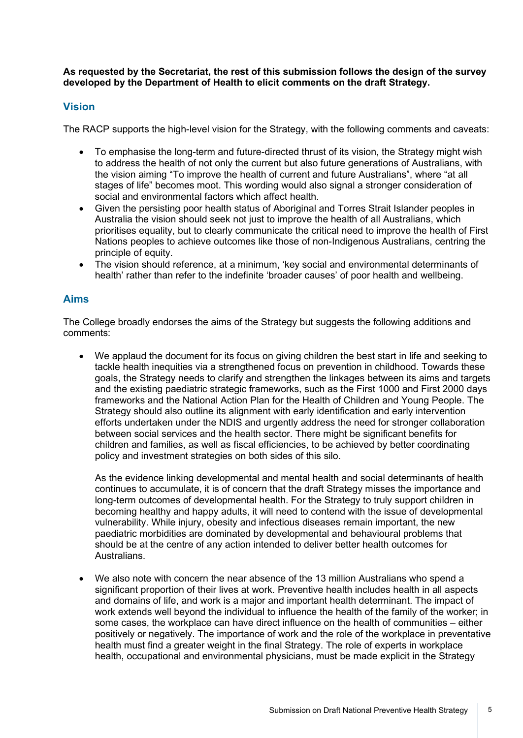**As requested by the Secretariat, the rest of this submission follows the design of the survey developed by the Department of Health to elicit comments on the draft Strategy.** 

#### **Vision**

The RACP supports the high-level vision for the Strategy, with the following comments and caveats:

- To emphasise the long-term and future-directed thrust of its vision, the Strategy might wish to address the health of not only the current but also future generations of Australians, with the vision aiming "To improve the health of current and future Australians", where "at all stages of life" becomes moot. This wording would also signal a stronger consideration of social and environmental factors which affect health.
- Given the persisting poor health status of Aboriginal and Torres Strait Islander peoples in Australia the vision should seek not just to improve the health of all Australians, which prioritises equality, but to clearly communicate the critical need to improve the health of First Nations peoples to achieve outcomes like those of non-Indigenous Australians, centring the principle of equity.
- The vision should reference, at a minimum, 'key social and environmental determinants of health' rather than refer to the indefinite 'broader causes' of poor health and wellbeing.

#### **Aims**

The College broadly endorses the aims of the Strategy but suggests the following additions and comments:

• We applaud the document for its focus on giving children the best start in life and seeking to tackle health inequities via a strengthened focus on prevention in childhood. Towards these goals, the Strategy needs to clarify and strengthen the linkages between its aims and targets and the existing paediatric strategic frameworks, such as the First 1000 and First 2000 days frameworks and the National Action Plan for the Health of Children and Young People. The Strategy should also outline its alignment with early identification and early intervention efforts undertaken under the NDIS and urgently address the need for stronger collaboration between social services and the health sector. There might be significant benefits for children and families, as well as fiscal efficiencies, to be achieved by better coordinating policy and investment strategies on both sides of this silo.

As the evidence linking developmental and mental health and social determinants of health continues to accumulate, it is of concern that the draft Strategy misses the importance and long-term outcomes of developmental health. For the Strategy to truly support children in becoming healthy and happy adults, it will need to contend with the issue of developmental vulnerability. While injury, obesity and infectious diseases remain important, the new paediatric morbidities are dominated by developmental and behavioural problems that should be at the centre of any action intended to deliver better health outcomes for Australians.

• We also note with concern the near absence of the 13 million Australians who spend a significant proportion of their lives at work. Preventive health includes health in all aspects and domains of life, and work is a major and important health determinant. The impact of work extends well beyond the individual to influence the health of the family of the worker; in some cases, the workplace can have direct influence on the health of communities – either positively or negatively. The importance of work and the role of the workplace in preventative health must find a greater weight in the final Strategy. The role of experts in workplace health, occupational and environmental physicians, must be made explicit in the Strategy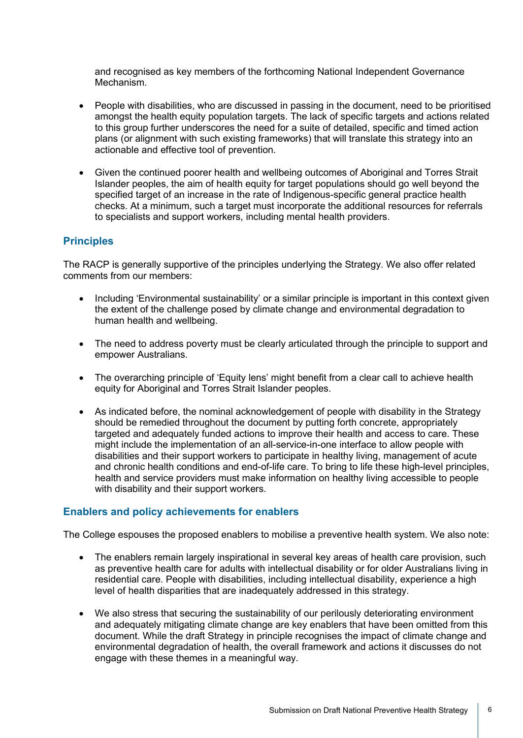and recognised as key members of the forthcoming National Independent Governance Mechanism.

- People with disabilities, who are discussed in passing in the document, need to be prioritised amongst the health equity population targets. The lack of specific targets and actions related to this group further underscores the need for a suite of detailed, specific and timed action plans (or alignment with such existing frameworks) that will translate this strategy into an actionable and effective tool of prevention.
- Given the continued poorer health and wellbeing outcomes of Aboriginal and Torres Strait Islander peoples, the aim of health equity for target populations should go well beyond the specified target of an increase in the rate of Indigenous-specific general practice health checks. At a minimum, such a target must incorporate the additional resources for referrals to specialists and support workers, including mental health providers.

# **Principles**

The RACP is generally supportive of the principles underlying the Strategy. We also offer related comments from our members:

- Including 'Environmental sustainability' or a similar principle is important in this context given the extent of the challenge posed by climate change and environmental degradation to human health and wellbeing.
- The need to address poverty must be clearly articulated through the principle to support and empower Australians.
- The overarching principle of 'Equity lens' might benefit from a clear call to achieve health equity for Aboriginal and Torres Strait Islander peoples.
- As indicated before, the nominal acknowledgement of people with disability in the Strategy should be remedied throughout the document by putting forth concrete, appropriately targeted and adequately funded actions to improve their health and access to care. These might include the implementation of an all-service-in-one interface to allow people with disabilities and their support workers to participate in healthy living, management of acute and chronic health conditions and end-of-life care. To bring to life these high-level principles, health and service providers must make information on healthy living accessible to people with disability and their support workers.

# **Enablers and policy achievements for enablers**

The College espouses the proposed enablers to mobilise a preventive health system. We also note:

- The enablers remain largely inspirational in several key areas of health care provision, such as preventive health care for adults with intellectual disability or for older Australians living in residential care. People with disabilities, including intellectual disability, experience a high level of health disparities that are inadequately addressed in this strategy.
- We also stress that securing the sustainability of our perilously deteriorating environment and adequately mitigating climate change are key enablers that have been omitted from this document. While the draft Strategy in principle recognises the impact of climate change and environmental degradation of health, the overall framework and actions it discusses do not engage with these themes in a meaningful way.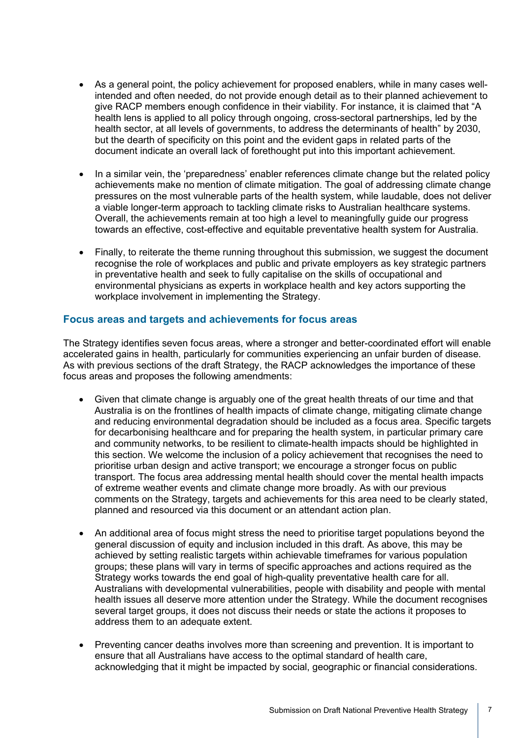- As a general point, the policy achievement for proposed enablers, while in many cases wellintended and often needed, do not provide enough detail as to their planned achievement to give RACP members enough confidence in their viability. For instance, it is claimed that "A health lens is applied to all policy through ongoing, cross-sectoral partnerships, led by the health sector, at all levels of governments, to address the determinants of health" by 2030, but the dearth of specificity on this point and the evident gaps in related parts of the document indicate an overall lack of forethought put into this important achievement.
- In a similar vein, the 'preparedness' enabler references climate change but the related policy achievements make no mention of climate mitigation. The goal of addressing climate change pressures on the most vulnerable parts of the health system, while laudable, does not deliver a viable longer-term approach to tackling climate risks to Australian healthcare systems. Overall, the achievements remain at too high a level to meaningfully guide our progress towards an effective, cost-effective and equitable preventative health system for Australia.
- Finally, to reiterate the theme running throughout this submission, we suggest the document recognise the role of workplaces and public and private employers as key strategic partners in preventative health and seek to fully capitalise on the skills of occupational and environmental physicians as experts in workplace health and key actors supporting the workplace involvement in implementing the Strategy.

#### **Focus areas and targets and achievements for focus areas**

The Strategy identifies seven focus areas, where a stronger and better-coordinated effort will enable accelerated gains in health, particularly for communities experiencing an unfair burden of disease. As with previous sections of the draft Strategy, the RACP acknowledges the importance of these focus areas and proposes the following amendments:

- Given that climate change is arguably one of the great health threats of our time and that Australia is on the frontlines of health impacts of climate change, mitigating climate change and reducing environmental degradation should be included as a focus area. Specific targets for decarbonising healthcare and for preparing the health system, in particular primary care and community networks, to be resilient to climate-health impacts should be highlighted in this section. We welcome the inclusion of a policy achievement that recognises the need to prioritise urban design and active transport; we encourage a stronger focus on public transport. The focus area addressing mental health should cover the mental health impacts of extreme weather events and climate change more broadly. As with our previous comments on the Strategy, targets and achievements for this area need to be clearly stated, planned and resourced via this document or an attendant action plan.
- An additional area of focus might stress the need to prioritise target populations beyond the general discussion of equity and inclusion included in this draft. As above, this may be achieved by setting realistic targets within achievable timeframes for various population groups; these plans will vary in terms of specific approaches and actions required as the Strategy works towards the end goal of high-quality preventative health care for all. Australians with developmental vulnerabilities, people with disability and people with mental health issues all deserve more attention under the Strategy. While the document recognises several target groups, it does not discuss their needs or state the actions it proposes to address them to an adequate extent.
- Preventing cancer deaths involves more than screening and prevention. It is important to ensure that all Australians have access to the optimal standard of health care, acknowledging that it might be impacted by social, geographic or financial considerations.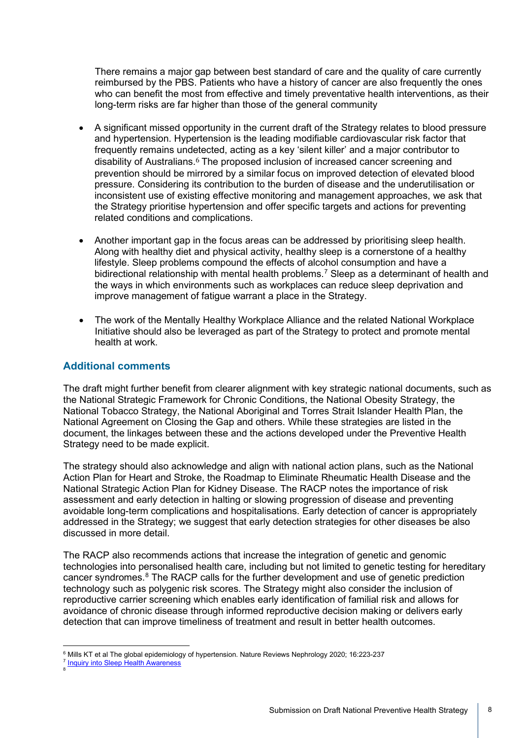There remains a major gap between best standard of care and the quality of care currently reimbursed by the PBS. Patients who have a history of cancer are also frequently the ones who can benefit the most from effective and timely preventative health interventions, as their long-term risks are far higher than those of the general community

- A significant missed opportunity in the current draft of the Strategy relates to blood pressure and hypertension. Hypertension is the leading modifiable cardiovascular risk factor that frequently remains undetected, acting as a key 'silent killer' and a major contributor to disability of Australians.<sup>[6](#page-7-0)</sup> The proposed inclusion of increased cancer screening and prevention should be mirrored by a similar focus on improved detection of elevated blood pressure. Considering its contribution to the burden of disease and the underutilisation or inconsistent use of existing effective monitoring and management approaches, we ask that the Strategy prioritise hypertension and offer specific targets and actions for preventing related conditions and complications.
- Another important gap in the focus areas can be addressed by prioritising sleep health. Along with healthy diet and physical activity, healthy sleep is a cornerstone of a healthy lifestyle. Sleep problems compound the effects of alcohol consumption and have a bidirectional relationship with mental health problems.<sup>[7](#page-7-1)</sup> Sleep as a determinant of health and the ways in which environments such as workplaces can reduce sleep deprivation and improve management of fatigue warrant a place in the Strategy.
- The work of the Mentally Healthy Workplace Alliance and the related National Workplace Initiative should also be leveraged as part of the Strategy to protect and promote mental health at work.

#### **Additional comments**

The draft might further benefit from clearer alignment with key strategic national documents, such as the National Strategic Framework for Chronic Conditions, the National Obesity Strategy, the National Tobacco Strategy, the National Aboriginal and Torres Strait Islander Health Plan, the National Agreement on Closing the Gap and others. While these strategies are listed in the document, the linkages between these and the actions developed under the Preventive Health Strategy need to be made explicit.

The strategy should also acknowledge and align with national action plans, such as the National Action Plan for Heart and Stroke, the Roadmap to Eliminate Rheumatic Health Disease and the [National Strategic Action Plan](https://aus01.safelinks.protection.outlook.com/?url=https%3A%2F%2Fwww.health.gov.au%2Fsites%2Fdefault%2Ffiles%2Fdocuments%2F2020%2F03%2Fnational-strategic-action-plan-for-kidney-disease_0.pdf&data=04%7C01%7Cracpconsult%40racp.edu.au%7Cbeba1b4688d84e55b6dc08d8f305846a%7C09c2d83fca574dad8a0b502b18e773e8%7C0%7C1%7C637526552335633463%7CUnknown%7CTWFpbGZsb3d8eyJWIjoiMC4wLjAwMDAiLCJQIjoiV2luMzIiLCJBTiI6Ik1haWwiLCJXVCI6Mn0%3D%7C1000&sdata=JYe3yzEDMdqkP%2B141Spo%2FpCHq22%2Bm%2B7YNWnz80BOhD0%3D&reserved=0) for Kidney Disease. The RACP notes the importance of risk assessment and early detection in halting or slowing progression of disease and preventing avoidable long-term complications and hospitalisations. Early detection of cancer is appropriately addressed in the Strategy; we suggest that early detection strategies for other diseases be also discussed in more detail.

The RACP also recommends actions that increase the integration of genetic and genomic technologies into personalised health care, including but not limited to genetic testing for hereditary cancer syndromes. [8](#page-7-2) The RACP calls for the further development and use of genetic prediction technology such as polygenic risk scores. The Strategy might also consider the inclusion of reproductive carrier screening which enables early identification of familial risk and allows for avoidance of chronic disease through informed reproductive decision making or delivers early detection that can improve timeliness of treatment and result in better health outcomes.

<span id="page-7-2"></span><span id="page-7-1"></span><span id="page-7-0"></span><sup>7</sup> [Inquiry into Sleep Health Awareness](https://aus01.safelinks.protection.outlook.com/?url=https%3A%2F%2Fwww.aph.gov.au%2FParliamentary_Business%2FCommittees%2FHouse%2FHealth_Aged_Care_and_Sport%2FSleepHealthAwareness%2FReport&data=04%7C01%7Cracpconsult%40racp.edu.au%7C763fdc5226104eb64cbe08d8f30700fd%7C09c2d83fca574dad8a0b502b18e773e8%7C0%7C1%7C637526558988011139%7CUnknown%7CTWFpbGZsb3d8eyJWIjoiMC4wLjAwMDAiLCJQIjoiV2luMzIiLCJBTiI6Ik1haWwiLCJXVCI6Mn0%3D%7C1000&sdata=XKZCc92r%2BbyiwylrsuUtDkZzLvqXTc8IWK6B0T0LOqg%3D&reserved=0) 8

<sup>6</sup> Mills KT et al The global epidemiology of hypertension. Nature Reviews Nephrology 2020; 16:223-237